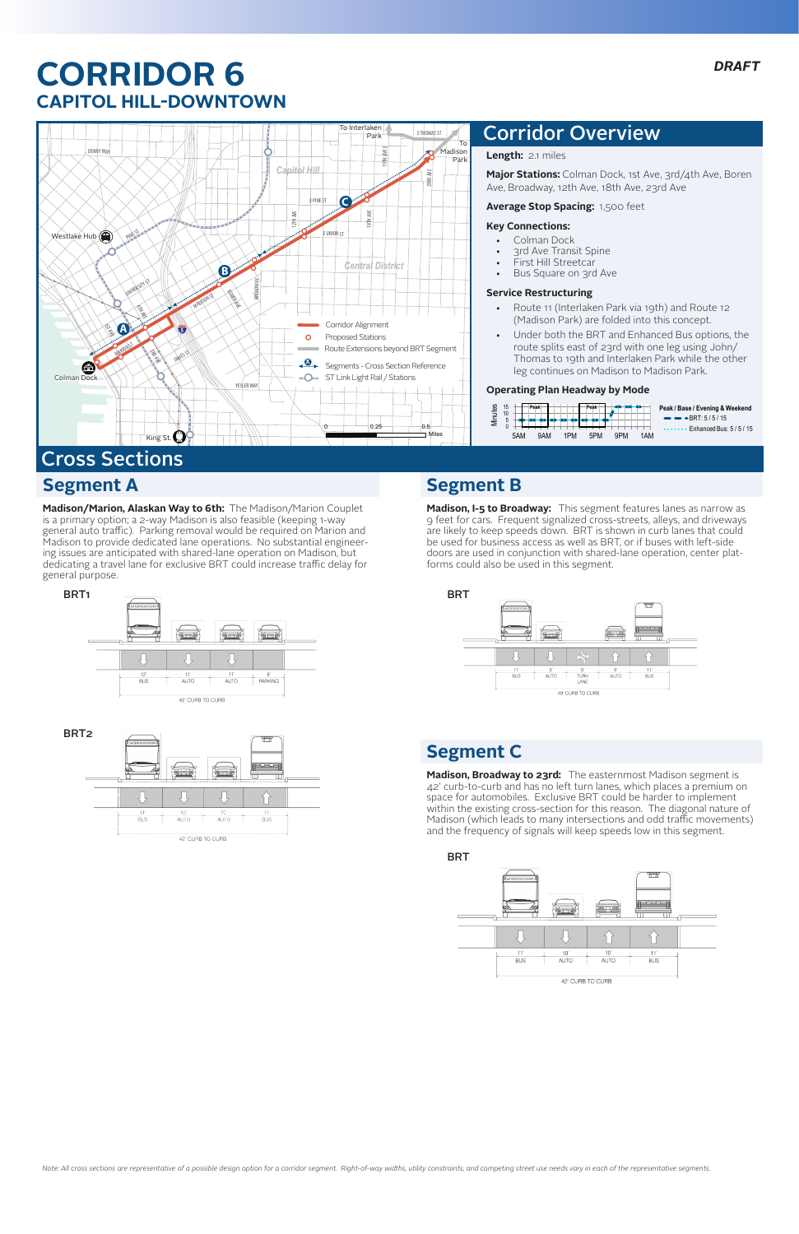**Madison/Marion, Alaskan Way to 6th:** The Madison/Marion Couplet is a primary option; a 2-way Madison is also feasible (keeping 1-way general auto traffic). Parking removal would be required on Marion and Madison to provide dedicated lane operations. No substantial engineering issues are anticipated with shared-lane operation on Madison, but dedicating a travel lane for exclusive BRT could increase traffic delay for general purpose.

# **CORRIDOR 6 CAPITOL HILL-DOWNTOWN**



**Length:** 2.1 miles

**Major Stations:** Colman Dock, 1st Ave, 3rd/4th Ave, Boren Ave, Broadway, 12th Ave, 18th Ave, 23rd Ave

#### **Average Stop Spacing:** 1,500 feet

#### **Key Connections:**

- • Colman Dock
- 3rd Ave Transit Spine
- First Hill Streetcar
- • Bus Square on 3rd Ave

#### **Service Restructuring**

- • Route 11 (Interlaken Park via 19th) and Route 12 (Madison Park) are folded into this concept.
- Under both the BRT and Enhanced Bus options, the route splits east of 23rd with one leg using John/ Thomas to 19th and Interlaken Park while the other leg continues on Madison to Madison Park.

#### **Operating Plan Headway by Mode**

## Corridor Overview





**Madison, I-5 to Broadway:** This segment features lanes as narrow as 9 feet for cars. Frequent signalized cross-streets, alleys, and driveways are likely to keep speeds down. BRT is shown in curb lanes that could be used for business access as well as BRT, or if buses with left-side doors are used in conjunction with shared-lane operation, center platforms could also be used in this segment.



## **Segment B**

# **Segment A** Cross Sections

**Madison, Broadway to 23rd:** The easternmost Madison segment is 42' curb-to-curb and has no left turn lanes, which places a premium on space for automobiles. Exclusive BRT could be harder to implement within the existing cross-section for this reason. The diagonal nature of Madison (which leads to many intersections and odd traffic movements) and the frequency of signals will keep speeds low in this segment.





## **Segment C**

*Note: All cross sections are representative of a possible design option for a corridor segment. Right-of-way widths, utility constraints, and competing street use needs vary in each of the representative segments.*